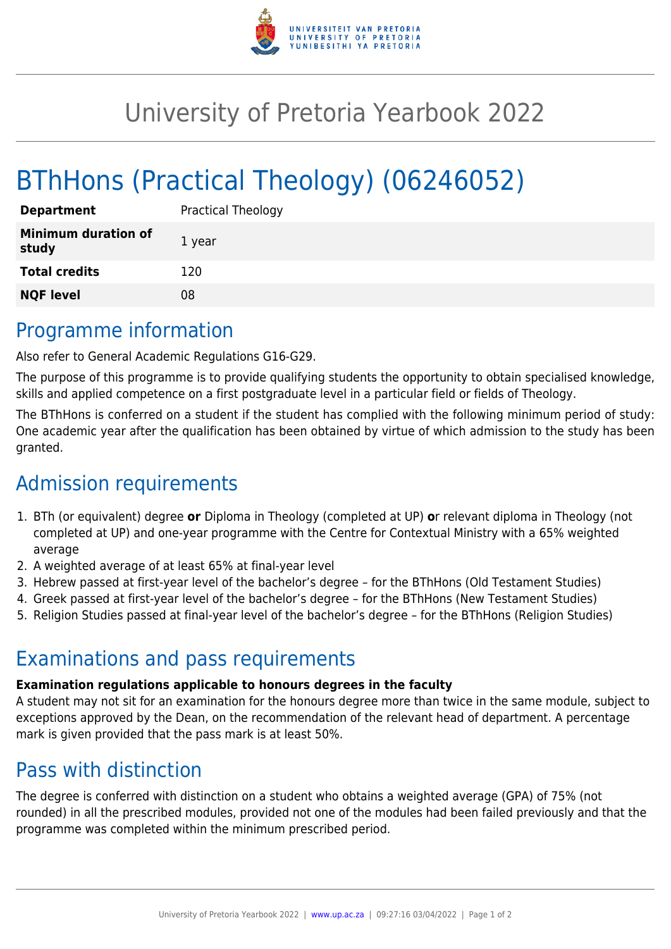

# University of Pretoria Yearbook 2022

# BThHons (Practical Theology) (06246052)

| <b>Department</b>                   | <b>Practical Theology</b> |
|-------------------------------------|---------------------------|
| <b>Minimum duration of</b><br>study | 1 year                    |
| <b>Total credits</b>                | 120                       |
| <b>NQF level</b>                    | 08                        |

## Programme information

Also refer to General Academic Regulations G16-G29.

The purpose of this programme is to provide qualifying students the opportunity to obtain specialised knowledge, skills and applied competence on a first postgraduate level in a particular field or fields of Theology.

The BThHons is conferred on a student if the student has complied with the following minimum period of study: One academic year after the qualification has been obtained by virtue of which admission to the study has been granted.

# Admission requirements

- 1. BTh (or equivalent) degree **or** Diploma in Theology (completed at UP) **o**r relevant diploma in Theology (not completed at UP) and one-year programme with the Centre for Contextual Ministry with a 65% weighted average
- 2. A weighted average of at least 65% at final-year level
- 3. Hebrew passed at first-year level of the bachelor's degree for the BThHons (Old Testament Studies)
- 4. Greek passed at first-year level of the bachelor's degree for the BThHons (New Testament Studies)
- 5. Religion Studies passed at final-year level of the bachelor's degree for the BThHons (Religion Studies)

## Examinations and pass requirements

#### **Examination regulations applicable to honours degrees in the faculty**

A student may not sit for an examination for the honours degree more than twice in the same module, subject to exceptions approved by the Dean, on the recommendation of the relevant head of department. A percentage mark is given provided that the pass mark is at least 50%.

## Pass with distinction

The degree is conferred with distinction on a student who obtains a weighted average (GPA) of 75% (not rounded) in all the prescribed modules, provided not one of the modules had been failed previously and that the programme was completed within the minimum prescribed period.